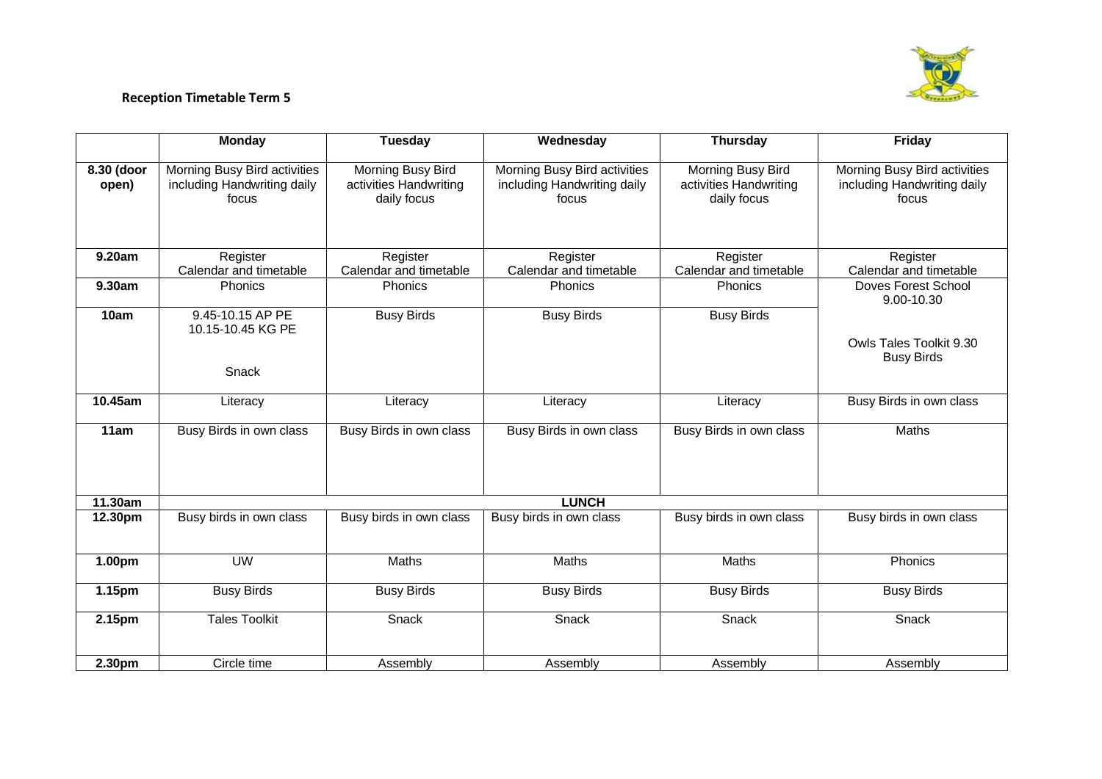

## **Reception Timetable Term 5**

|                     | <b>Monday</b>                                                        | <b>Tuesday</b>                                             | Wednesday                                                            | <b>Thursday</b>                                            | <b>Friday</b>                                                        |  |  |
|---------------------|----------------------------------------------------------------------|------------------------------------------------------------|----------------------------------------------------------------------|------------------------------------------------------------|----------------------------------------------------------------------|--|--|
| 8.30 (door<br>open) | Morning Busy Bird activities<br>including Handwriting daily<br>focus | Morning Busy Bird<br>activities Handwriting<br>daily focus | Morning Busy Bird activities<br>including Handwriting daily<br>focus | Morning Busy Bird<br>activities Handwriting<br>daily focus | Morning Busy Bird activities<br>including Handwriting daily<br>focus |  |  |
| 9.20am              | Register<br>Calendar and timetable                                   | Register<br>Calendar and timetable                         | Register<br>Calendar and timetable                                   | Register<br>Calendar and timetable                         | Register<br>Calendar and timetable                                   |  |  |
| 9.30am              | <b>Phonics</b>                                                       | Phonics                                                    | Phonics                                                              | Phonics                                                    | <b>Doves Forest School</b><br>9.00-10.30                             |  |  |
| 10am                | 9.45-10.15 AP PE<br>10.15-10.45 KG PE<br>Snack                       | <b>Busy Birds</b>                                          | <b>Busy Birds</b>                                                    | <b>Busy Birds</b>                                          | Owls Tales Toolkit 9.30<br><b>Busy Birds</b>                         |  |  |
| 10.45am             | Literacy                                                             | Literacy                                                   | Literacy                                                             | Literacy                                                   | Busy Birds in own class                                              |  |  |
| 11am                | Busy Birds in own class                                              | Busy Birds in own class                                    | Busy Birds in own class                                              | Busy Birds in own class                                    | Maths                                                                |  |  |
| 11.30am             | <b>LUNCH</b>                                                         |                                                            |                                                                      |                                                            |                                                                      |  |  |
| 12.30pm             | Busy birds in own class                                              | Busy birds in own class                                    | Busy birds in own class                                              | Busy birds in own class                                    | Busy birds in own class                                              |  |  |
| 1.00pm              | <b>UW</b>                                                            | Maths                                                      | Maths                                                                | Maths                                                      | Phonics                                                              |  |  |
| 1.15pm              | <b>Busy Birds</b>                                                    | <b>Busy Birds</b>                                          | <b>Busy Birds</b>                                                    | <b>Busy Birds</b>                                          | <b>Busy Birds</b>                                                    |  |  |
| 2.15pm              | <b>Tales Toolkit</b>                                                 | Snack                                                      | Snack                                                                | Snack                                                      | Snack                                                                |  |  |
| 2.30pm              | Circle time                                                          | Assembly                                                   | Assembly                                                             | Assembly                                                   | Assembly                                                             |  |  |